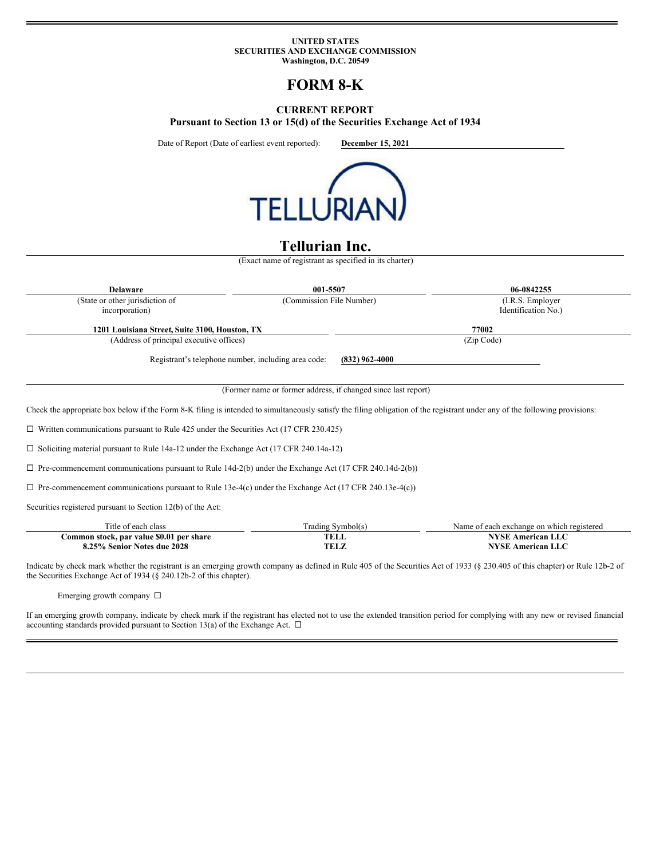#### **UNITED STATES SECURITIES AND EXCHANGE COMMISSION Washington, D.C. 20549**

# **FORM 8-K**

# **CURRENT REPORT**

**Pursuant to Section 13 or 15(d) of the Securities Exchange Act of 1934**

Date of Report (Date of earliest event reported): **December 15, 2021**



# **Tellurian Inc.**

(Exact name of registrant as specified in its charter)

| <b>Delaware</b>                                   | 001-5507                                            |                  | 06-0842255                               |  |
|---------------------------------------------------|-----------------------------------------------------|------------------|------------------------------------------|--|
| (State or other jurisdiction of<br>incorporation) | (Commission File Number)                            |                  | (I.R.S. Employer)<br>Identification No.) |  |
| 1201 Louisiana Street, Suite 3100, Houston, TX    |                                                     |                  | 77002                                    |  |
| (Address of principal executive offices)          |                                                     |                  | (Zip Code)                               |  |
|                                                   | Registrant's telephone number, including area code: | $(832)$ 962-4000 |                                          |  |

(Former name or former address, if changed since last report)

Check the appropriate box below if the Form 8-K filing is intended to simultaneously satisfy the filing obligation of the registrant under any of the following provisions:

 $\square$  Written communications pursuant to Rule 425 under the Securities Act (17 CFR 230.425)

□ Soliciting material pursuant to Rule 14a-12 under the Exchange Act (17 CFR 240.14a-12)

 $\square$  Pre-commencement communications pursuant to Rule 14d-2(b) under the Exchange Act (17 CFR 240.14d-2(b))

 $\Box$  Pre-commencement communications pursuant to Rule 13e-4(c) under the Exchange Act (17 CFR 240.13e-4(c))

Securities registered pursuant to Section 12(b) of the Act:

| l'itle of each class                     | Trading Symbol(s) | Name of each exchange on which registered |
|------------------------------------------|-------------------|-------------------------------------------|
| Common stock, par value \$0.01 per share | <b>TELL</b>       | American LLC                              |
| 8.25% Senior Notes due 2028              | <b>TELZ</b>       | <b>American LLC</b>                       |

Indicate by check mark whether the registrant is an emerging growth company as defined in Rule 405 of the Securities Act of 1933 (§ 230.405 of this chapter) or Rule 12b-2 of the Securities Exchange Act of 1934 (§ 240.12b-2 of this chapter).

Emerging growth company  $\Box$ 

If an emerging growth company, indicate by check mark if the registrant has elected not to use the extended transition period for complying with any new or revised financial accounting standards provided pursuant to Section 13(a) of the Exchange Act.  $\Box$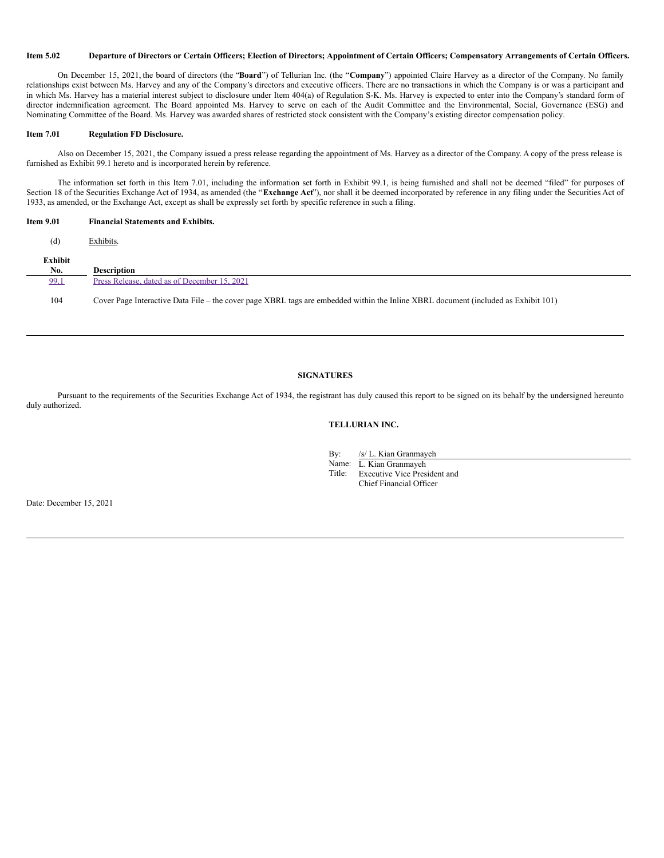## Item 5.02 Departure of Directors or Certain Officers; Election of Directors; Appointment of Certain Officers; Compensatory Arrangements of Certain Officers.

On December 15, 2021, the board of directors (the "**Board**") of Tellurian Inc. (the "**Company**") appointed Claire Harvey as a director of the Company. No family relationships exist between Ms. Harvey and any of the Company's directors and executive officers. There are no transactions in which the Company is or was a participant and in which Ms. Harvey has a material interest subject to disclosure under Item 404(a) of Regulation S-K. Ms. Harvey is expected to enter into the Company's standard form of director indemnification agreement. The Board appointed Ms. Harvey to serve on each of the Audit Committee and the Environmental, Social, Governance (ESG) and Nominating Committee of the Board. Ms. Harvey was awarded shares of restricted stock consistent with the Company's existing director compensation policy.

#### **Item 7.01 Regulation FD Disclosure.**

Also on December 15, 2021, the Company issued a press release regarding the appointment of Ms. Harvey as a director of the Company. A copy of the press release is furnished as Exhibit 99.1 hereto and is incorporated herein by reference.

The information set forth in this Item 7.01, including the information set forth in Exhibit 99.1, is being furnished and shall not be deemed "filed" for purposes of Section 18 of the Securities Exchange Act of 1934, as amended (the "Exchange Act"), nor shall it be deemed incorporated by reference in any filing under the Securities Act of 1933, as amended, or the Exchange Act, except as shall be expressly set forth by specific reference in such a filing.

### **Item 9.01 Financial Statements and Exhibits.**

| (d)            | Exhibits.                                                                                                                          |
|----------------|------------------------------------------------------------------------------------------------------------------------------------|
| Exhibit<br>No. | <b>Description</b>                                                                                                                 |
| 99.1           | Press Release, dated as of December 15, 2021                                                                                       |
| 104            | Cover Page Interactive Data File – the cover page XBRL tags are embedded within the Inline XBRL document (included as Exhibit 101) |

## **SIGNATURES**

Pursuant to the requirements of the Securities Exchange Act of 1934, the registrant has duly caused this report to be signed on its behalf by the undersigned hereunto duly authorized.

## **TELLURIAN INC.**

By: /s/ L. Kian Granmayeh

Name: L. Kian Granmayeh

Title: Executive Vice President and Chief Financial Officer

Date: December 15, 2021